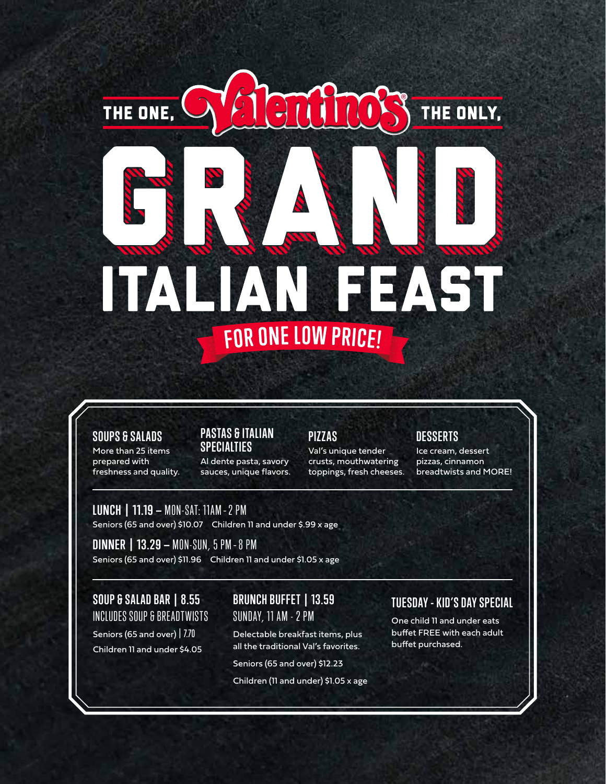# TALIAN FEAST FOR ONE LOW PRICE!

#### **SOUPS & SALADS**

More than 25 items prepared with freshness and quality.

THE ONE,

#### **PASTAS & ITALIAN SPECIALTIES**

Al dente pasta, savory sauces, unique flavors.

### **PIZZAS**

201008

Val's unique tender crusts, mouthwatering toppings, fresh cheeses.

## **DESSERTS**

Ice cream, dessert pizzas, cinnamon breadtwists and MORE!

THE ONLY,

**LUNCH | 11.19 —** MON-SAT: 11AM –2 PM

Seniors (65 and over) \$10.07 Children 11 and under \$.99 x age

**DINNER | 13.29 —** MON-SUN, 5 PM –8 PM Seniors (65 and over) \$11.96 Children 11 and under \$1.05 x age

**SOUP & SALAD BAR | 8.55** INCLUDES SOUP & BREADTWISTS

Seniors (65 and over) 7.70 Children 11 and under \$4.05

# **BRUNCH BUFFET | 13.59** SUNDAY, 11 AM - 2 PM

Delectable breakfast items, plus all the traditional Val's favorites.

Seniors (65 and over) \$12.23

Children (11 and under) \$1.05 x age

# **TUESDAY - KID'S DAY SPECIAL**

One child 11 and under eats buffet FREE with each adult buffet purchased.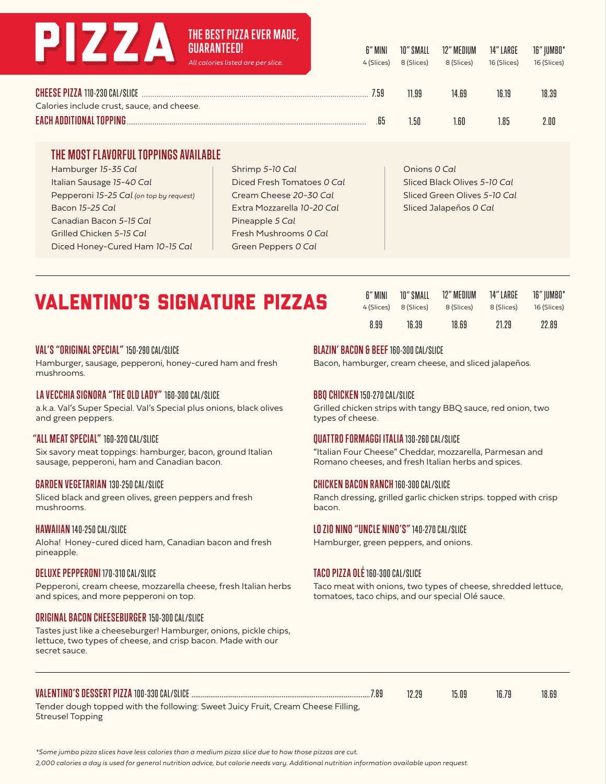# **THE BEST PIZZA EVER MADE,**

| All calories listed are per slice.         | 6" MINI<br>4 (Slices) | 10" SMALL<br>8 (Slices) | 12" MEDIUM<br>8 (Slices) | 14" LARGE<br>16 (Slices) | 16" JUMBO*<br>16 (Slices) |
|--------------------------------------------|-----------------------|-------------------------|--------------------------|--------------------------|---------------------------|
| <b>CHEESE PIZZA 110-230 CAL/SLICE</b>      | 7.59                  | 11.99                   | 14.69                    | 16.19                    | 18.39                     |
| Calories include crust, sauce, and cheese. |                       |                         |                          |                          |                           |
| <b>EACH ADDITIONAL TOPPING.</b>            | .65                   | 1.50                    | 1.60                     | 85                       | 2.00                      |

#### **THE MOST FLAVORFUL TOPPINGS AVAILABLE** Hamburger *15-35 Cal* Italian Sausage *15-40 Cal*

Pepperoni *15-25 Cal (on top by request)* Bacon *15-25 Cal* Canadian Bacon *5-15 Cal* Grilled Chicken *5-15 Cal* Diced Honey-Cured Ham *10-15 Cal*

Shrimp *5-10 Cal* Diced Fresh Tomatoes *0 Cal* Cream Cheese *20-30 Cal* Extra Mozzarella *10-20 Cal* Pineapple *5 Cal* Fresh Mushrooms *0 Cal* Green Peppers *0 Cal*

Onions *0 Cal* Sliced Black Olives *5-10 Cal* Sliced Green Olives *5-10 Cal* Sliced Jalapeños *0 Cal*

# VALENTINO'S SIGNATURE PIZZAS

| 6" MINI    | 10" SMALL  | 12" MEDIUM | 14" LARGE  | 16"  UMB0*  |
|------------|------------|------------|------------|-------------|
| 4 (Slices) | 8 (Slices) | 8 (Slices) | 8 (Slices) | 16 (Slices) |
| 8.99       | 16.39      | 18.69      | 21.29      | 22.89       |

#### **VAL'S "ORIGINAL SPECIAL"** 150-290 CAL/SLICE

Hamburger, sausage, pepperoni, honey-cured ham and fresh mushrooms.

#### **LA VECCHIA SIGNORA "THE OLD LADY"** 160-300 CAL/SLICE

a.k.a. Val's Super Special. Val's Special plus onions, black olives and green peppers.

#### **"ALL MEAT SPECIAL"** 160-320 CAL/SLICE

Six savory meat toppings: hamburger, bacon, ground Italian sausage, pepperoni, ham and Canadian bacon.

#### **GARDEN VEGETARIAN** 130-250 CAL/SLICE

Sliced black and green olives, green peppers and fresh mushrooms.

#### **HAWAIIAN** 140-250 CAL/SLICE

Aloha! Honey-cured diced ham, Canadian bacon and fresh pineapple.

#### **DELUXE PEPPERONI** 170-310 CAL/SLICE

Pepperoni, cream cheese, mozzarella cheese, fresh Italian herbs and spices, and more pepperoni on top.

#### **ORIGINAL BACON CHEESEBURGER** 150-300 CAL/SLICE

Tastes just like a cheeseburger! Hamburger, onions, pickle chips, lettuce, two types of cheese, and crisp bacon. Made with our secret sauce.

#### **BLAZIN' BACON & BEEF** 160-300 CAL/SLICE

Bacon, hamburger, cream cheese, and sliced jalapeños.

#### **BBQ CHICKEN** 150-270 CAL/SLICE

Grilled chicken strips with tangy BBQ sauce, red onion, two types of cheese.

#### **QUATTRO FORMAGGI ITALIA** 130-260 CAL/SLICE

"Italian Four Cheese" Cheddar, mozzarella, Parmesan and Romano cheeses, and fresh Italian herbs and spices.

#### **CHICKEN BACON RANCH** 160-300 CAL/SLICE

Ranch dressing, grilled garlic chicken strips. topped with crisp bacon.

#### **LO ZIO NINO "UNCLE NINO'S"** 140-270 CAL/SLICE

Hamburger, green peppers, and onions.

#### **TACO PIZZA OLÉ** 160-300 CAL/SLICE

Taco meat with onions, two types of cheese, shredded lettuce, tomatoes, taco chips, and our special Olé sauce.

| <b>VALENTINO'S DESSERT PIZZA 100-330 CAL/SLICE </b>                              | 7.89 | 15.09 | 16.79 | 18.69 |
|----------------------------------------------------------------------------------|------|-------|-------|-------|
| Tender dough topped with the following: Sweet Juicy Fruit, Cream Cheese Filling, |      |       |       |       |

Streusel Topping

*\*Some jumbo pizza slices have less calories than a medium pizza slice due to how those pizzas are cut.*

*2,000 calories a day is used for general nutrition advice, but calorie needs vary. Additional nutrition information available upon request.*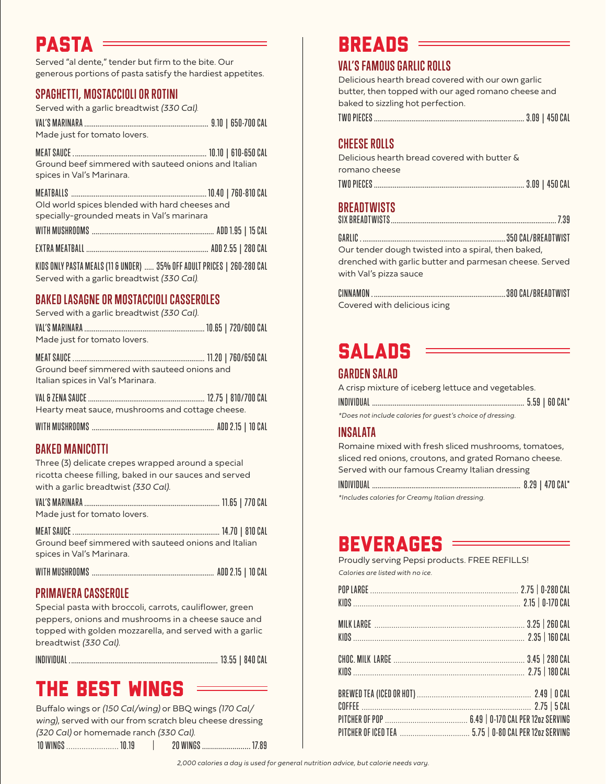# PASTA

Served "al dente," tender but firm to the bite. Our generous portions of pasta satisfy the hardiest appetites.

# **SPAGHETTI, MOSTACCIOLI OR ROTINI**

Served with a garlic breadtwist *(330 Cal).*

| Made just for tomato lovers. |  |  |
|------------------------------|--|--|

MEAT SAUCE . ...................................................................... 10.10 | 610-650 CAL Ground beef simmered with sauteed onions and Italian spices in Val's Marinara.

| Old world spices blended with hard cheeses and |  |
|------------------------------------------------|--|
| specially-grounded meats in Val's marinara     |  |

| WITH MUSHROOMS ……………………………………………………………… ADD 1.95   15 CAL |  |
|-----------------------------------------------------------|--|
|                                                           |  |

KIDS ONLY PASTA MEALS (11 & UNDER) ..... 35% OFF ADULT PRICES | 260-280 CAL Served with a garlic breadtwist *(330 Cal).*

# **BAKED LASAGNE OR MOSTACCIOLI CASSEROLES**

Served with a garlic breadtwist *(330 Cal).*

| Made just for tomato lovers.                                                      |  |
|-----------------------------------------------------------------------------------|--|
| Ground beef simmered with sauteed onions and<br>Italian spices in Val's Marinara. |  |
| Hearty meat sauce, mushrooms and cottage cheese.                                  |  |

# **BAKED MANICOTTI**

Three (3) delicate crepes wrapped around a special ricotta cheese filling, baked in our sauces and served with a garlic breadtwist *(330 Cal).*

| Made just for tomato lovers.                                                      |  |
|-----------------------------------------------------------------------------------|--|
| Ground beef simmered with sauteed onions and Italian<br>spices in Val's Marinara. |  |
|                                                                                   |  |

# **PRIMAVERA CASSEROLE**

Special pasta with broccoli, carrots, cauliflower, green peppers, onions and mushrooms in a cheese sauce and topped with golden mozzarella, and served with a garlic breadtwist *(330 Cal).*

INDIVIDUAL . .............................................................................. 13.55 | 840 CAL

# THE BEST WINGS

Buffalo wings or *(150 Cal/wing)* or BBQ wings *(170 Cal/ wing)*, served with our from scratch bleu cheese dressing *(320 Cal)* or homemade ranch *(330 Cal)*. 10 WINGS ........................ 10.19 | 20 WINGS ........................ 17.89 BREADS

## **VAL'S FAMOUS GARLIC ROLLS**

Delicious hearth bread covered with our own garlic butter, then topped with our aged romano cheese and baked to sizzling hot perfection.

|--|--|--|--|--|

## **CHEESE ROLLS**

Delicious hearth bread covered with butter & romano cheese TWO PIECES ................................................................................ 3.09 | 450 CAL

# **BREADTWISTS**

| Our tender dough twisted into a spiral, then baked, |  |
|-----------------------------------------------------|--|
|                                                     |  |

drenched with garlic butter and parmesan cheese. Served with Val's pizza sauce

| Covered with delicious icing |  |
|------------------------------|--|

# **SALADS**

# **GARDEN SALAD**

A crisp mixture of iceberg lettuce and vegetables.

*\*Does not include calories for guest's choice of dressing.*

# **INSALATA**

Romaine mixed with fresh sliced mushrooms, tomatoes, sliced red onions, croutons, and grated Romano cheese. Served with our famous Creamy Italian dressing

| tlaskidas salarias far Croquou Italian drossina |  |
|-------------------------------------------------|--|

*\*Includes calories for Creamy Italian dressing.*

# BEVERAGES

| Proudly serving Pepsi products. FREE REFILLS! |  |
|-----------------------------------------------|--|
| Calories are listed with no ice.              |  |